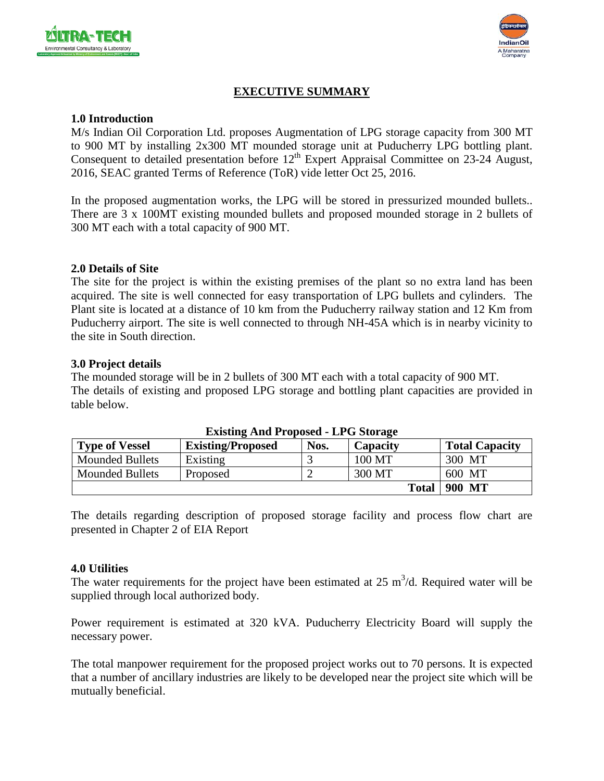



# **EXECUTIVE SUMMARY**

### **1.0 Introduction**

M/s Indian Oil Corporation Ltd. proposes Augmentation of LPG storage capacity from 300 MT to 900 MT by installing 2x300 MT mounded storage unit at Puducherry LPG bottling plant. Consequent to detailed presentation before  $12<sup>th</sup>$  Expert Appraisal Committee on 23-24 August, 2016, SEAC granted Terms of Reference (ToR) vide letter Oct 25, 2016.

In the proposed augmentation works, the LPG will be stored in pressurized mounded bullets.. There are 3 x 100MT existing mounded bullets and proposed mounded storage in 2 bullets of 300 MT each with a total capacity of 900 MT.

### **2.0 Details of Site**

The site for the project is within the existing premises of the plant so no extra land has been acquired. The site is well connected for easy transportation of LPG bullets and cylinders. The Plant site is located at a distance of 10 km from the Puducherry railway station and 12 Km from Puducherry airport. The site is well connected to through NH-45A which is in nearby vicinity to the site in South direction.

#### **3.0 Project details**

The mounded storage will be in 2 bullets of 300 MT each with a total capacity of 900 MT. The details of existing and proposed LPG storage and bottling plant capacities are provided in table below.

| <b>EXISURE ARE I LOPOSED - LT G STOLAGE</b> |                          |      |              |                       |  |  |
|---------------------------------------------|--------------------------|------|--------------|-----------------------|--|--|
| <b>Type of Vessel</b>                       | <b>Existing/Proposed</b> | Nos. | Capacity     | <b>Total Capacity</b> |  |  |
| <b>Mounded Bullets</b>                      | Existing                 |      | 100 MT       | 300 MT                |  |  |
| <b>Mounded Bullets</b>                      | Proposed                 |      | 300 MT       | 600 MT                |  |  |
|                                             |                          |      | <b>Total</b> | 900 MT                |  |  |

#### **Existing And Proposed - LPG Storage**

The details regarding description of proposed storage facility and process flow chart are presented in Chapter 2 of EIA Report

### **4.0 Utilities**

The water requirements for the project have been estimated at  $25 \text{ m}^3/\text{d}$ . Required water will be supplied through local authorized body.

Power requirement is estimated at 320 kVA. Puducherry Electricity Board will supply the necessary power.

The total manpower requirement for the proposed project works out to 70 persons. It is expected that a number of ancillary industries are likely to be developed near the project site which will be mutually beneficial.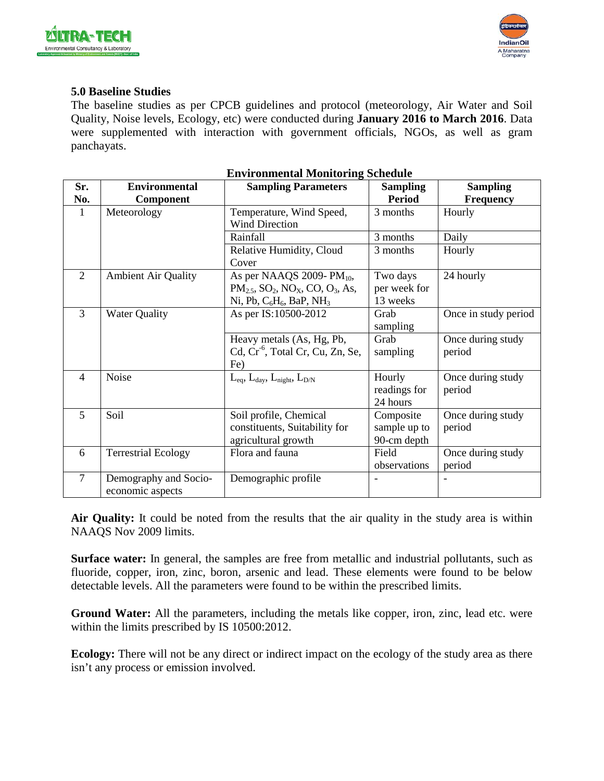



#### **5.0 Baseline Studies**

The baseline studies as per CPCB guidelines and protocol (meteorology, Air Water and Soil Quality, Noise levels, Ecology, etc) were conducted during **January 2016 to March 2016**. Data were supplemented with interaction with government officials, NGOs, as well as gram panchayats.

| Sr.            | <b>Environmental</b>       | <b>Sampling Parameters</b>                                                | <b>Sampling</b> | <b>Sampling</b>      |
|----------------|----------------------------|---------------------------------------------------------------------------|-----------------|----------------------|
| No.            | Component                  |                                                                           | <b>Period</b>   | Frequency            |
| $\mathbf{1}$   | Meteorology                | Temperature, Wind Speed,                                                  | 3 months        | Hourly               |
|                |                            | <b>Wind Direction</b>                                                     |                 |                      |
|                |                            | Rainfall                                                                  | 3 months        | Daily                |
|                |                            | Relative Humidity, Cloud                                                  | 3 months        | Hourly               |
|                |                            | Cover                                                                     |                 |                      |
| $\overline{2}$ | <b>Ambient Air Quality</b> | As per NAAQS 2009-PM <sub>10</sub> ,                                      | Two days        | 24 hourly            |
|                |                            | $PM_{2.5}$ , SO <sub>2</sub> , NO <sub>x</sub> , CO, O <sub>3</sub> , As, | per week for    |                      |
|                |                            | Ni, Pb, $C_6H_6$ , BaP, NH <sub>3</sub>                                   | 13 weeks        |                      |
| 3              | <b>Water Quality</b>       | As per IS:10500-2012                                                      | Grab            | Once in study period |
|                |                            |                                                                           | sampling        |                      |
|                |                            | Heavy metals (As, Hg, Pb,                                                 | Grab            | Once during study    |
|                |                            | Cd, Cr <sup>-6</sup> , Total Cr, Cu, Zn, Se,                              | sampling        | period               |
|                |                            | Fe)                                                                       |                 |                      |
| $\overline{4}$ | Noise                      | $L_{eq}$ , $L_{day}$ , $L_{night}$ , $L_{D/N}$                            | Hourly          | Once during study    |
|                |                            |                                                                           | readings for    | period               |
|                |                            |                                                                           | 24 hours        |                      |
| 5              | Soil                       | Soil profile, Chemical                                                    | Composite       | Once during study    |
|                |                            | constituents, Suitability for                                             | sample up to    | period               |
|                |                            | agricultural growth                                                       | 90-cm depth     |                      |
| 6              | <b>Terrestrial Ecology</b> | Flora and fauna                                                           | Field           | Once during study    |
|                |                            |                                                                           | observations    | period               |
| $\overline{7}$ | Demography and Socio-      | Demographic profile                                                       |                 |                      |
|                | economic aspects           |                                                                           |                 |                      |

#### **Environmental Monitoring Schedule**

**Air Quality:** It could be noted from the results that the air quality in the study area is within NAAQS Nov 2009 limits.

**Surface water:** In general, the samples are free from metallic and industrial pollutants, such as fluoride, copper, iron, zinc, boron, arsenic and lead. These elements were found to be below detectable levels. All the parameters were found to be within the prescribed limits.

**Ground Water:** All the parameters, including the metals like copper, iron, zinc, lead etc. were within the limits prescribed by IS 10500:2012.

**Ecology:** There will not be any direct or indirect impact on the ecology of the study area as there isn't any process or emission involved.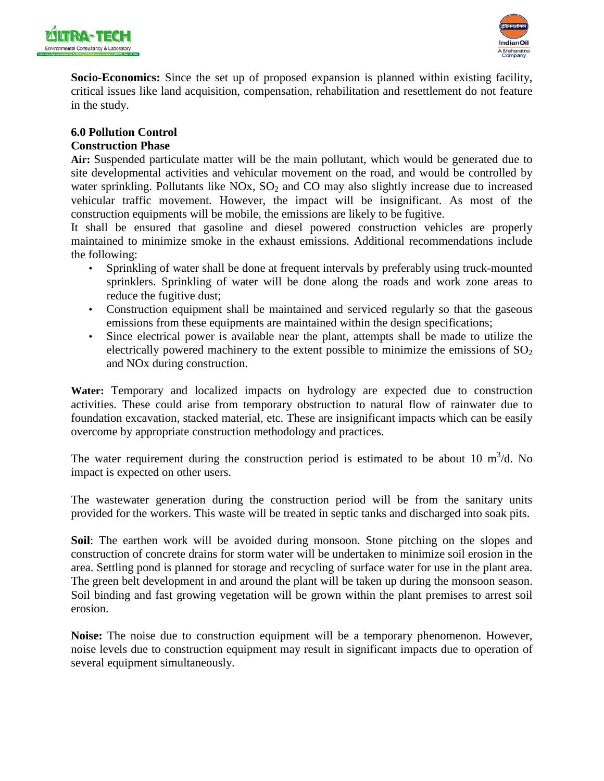



**Socio-Economics:** Since the set up of proposed expansion is planned within existing facility, critical issues like land acquisition, compensation, rehabilitation and resettlement do not feature in the study.

# **6.0 Pollution Control**

# **Construction Phase**

**Air:** Suspended particulate matter will be the main pollutant, which would be generated due to site developmental activities and vehicular movement on the road, and would be controlled by water sprinkling. Pollutants like  $NOx$ ,  $SO<sub>2</sub>$  and  $CO$  may also slightly increase due to increased vehicular traffic movement. However, the impact will be insignificant. As most of the construction equipments will be mobile, the emissions are likely to be fugitive.

It shall be ensured that gasoline and diesel powered construction vehicles are properly maintained to minimize smoke in the exhaust emissions. Additional recommendations include the following:

- Sprinkling of water shall be done at frequent intervals by preferably using truck-mounted sprinklers. Sprinkling of water will be done along the roads and work zone areas to reduce the fugitive dust;
- Construction equipment shall be maintained and serviced regularly so that the gaseous emissions from these equipments are maintained within the design specifications;
- Since electrical power is available near the plant, attempts shall be made to utilize the electrically powered machinery to the extent possible to minimize the emissions of  $SO_2$ and NOx during construction.

**Water:** Temporary and localized impacts on hydrology are expected due to construction activities. These could arise from temporary obstruction to natural flow of rainwater due to foundation excavation, stacked material, etc. These are insignificant impacts which can be easily overcome by appropriate construction methodology and practices.

The water requirement during the construction period is estimated to be about 10  $m^3/d$ . No impact is expected on other users.

The wastewater generation during the construction period will be from the sanitary units provided for the workers. This waste will be treated in septic tanks and discharged into soak pits.

**Soil**: The earthen work will be avoided during monsoon. Stone pitching on the slopes and construction of concrete drains for storm water will be undertaken to minimize soil erosion in the area. Settling pond is planned for storage and recycling of surface water for use in the plant area. The green belt development in and around the plant will be taken up during the monsoon season. Soil binding and fast growing vegetation will be grown within the plant premises to arrest soil erosion.

**Noise:** The noise due to construction equipment will be a temporary phenomenon. However, noise levels due to construction equipment may result in significant impacts due to operation of several equipment simultaneously.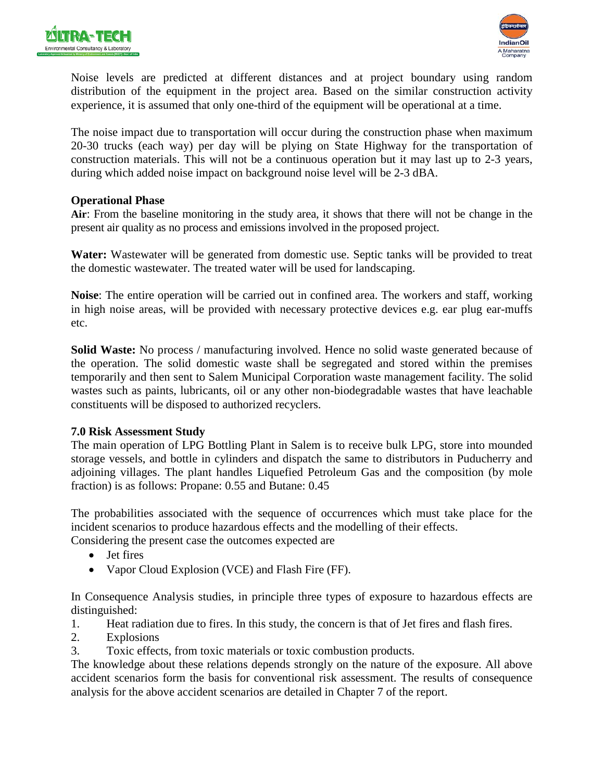



Noise levels are predicted at different distances and at project boundary using random distribution of the equipment in the project area. Based on the similar construction activity experience, it is assumed that only one-third of the equipment will be operational at a time.

The noise impact due to transportation will occur during the construction phase when maximum 20-30 trucks (each way) per day will be plying on State Highway for the transportation of construction materials. This will not be a continuous operation but it may last up to 2-3 years, during which added noise impact on background noise level will be 2-3 dBA.

#### **Operational Phase**

**Air**: From the baseline monitoring in the study area, it shows that there will not be change in the present air quality as no process and emissions involved in the proposed project.

**Water:** Wastewater will be generated from domestic use. Septic tanks will be provided to treat the domestic wastewater. The treated water will be used for landscaping.

**Noise**: The entire operation will be carried out in confined area. The workers and staff, working in high noise areas, will be provided with necessary protective devices e.g. ear plug ear-muffs etc.

**Solid Waste:** No process / manufacturing involved. Hence no solid waste generated because of the operation. The solid domestic waste shall be segregated and stored within the premises temporarily and then sent to Salem Municipal Corporation waste management facility. The solid wastes such as paints, lubricants, oil or any other non-biodegradable wastes that have leachable constituents will be disposed to authorized recyclers.

### **7.0 Risk Assessment Study**

The main operation of LPG Bottling Plant in Salem is to receive bulk LPG, store into mounded storage vessels, and bottle in cylinders and dispatch the same to distributors in Puducherry and adjoining villages. The plant handles Liquefied Petroleum Gas and the composition (by mole fraction) is as follows: Propane: 0.55 and Butane: 0.45

The probabilities associated with the sequence of occurrences which must take place for the incident scenarios to produce hazardous effects and the modelling of their effects.

Considering the present case the outcomes expected are

- Jet fires
- Vapor Cloud Explosion (VCE) and Flash Fire (FF).

In Consequence Analysis studies, in principle three types of exposure to hazardous effects are distinguished:

- 1. Heat radiation due to fires. In this study, the concern is that of Jet fires and flash fires.
- 2. Explosions
- 3. Toxic effects, from toxic materials or toxic combustion products.

The knowledge about these relations depends strongly on the nature of the exposure. All above accident scenarios form the basis for conventional risk assessment. The results of consequence analysis for the above accident scenarios are detailed in Chapter 7 of the report.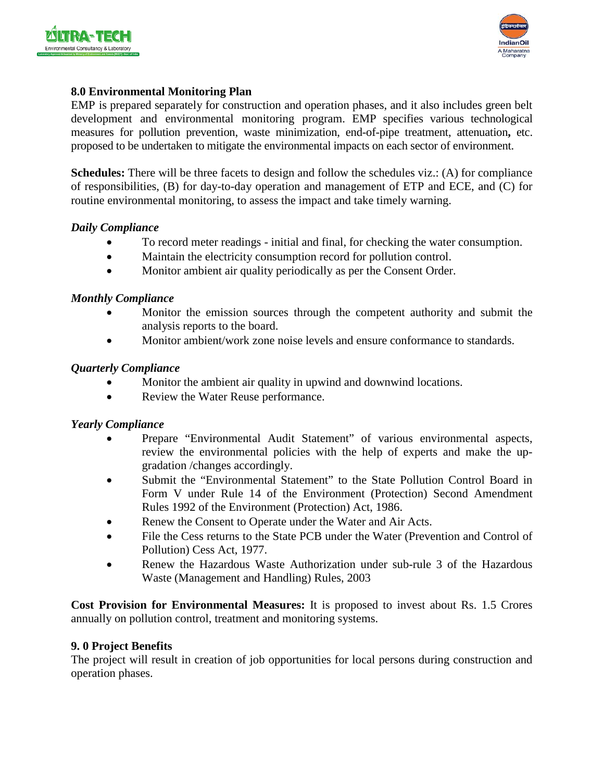



### **8.0 Environmental Monitoring Plan**

EMP is prepared separately for construction and operation phases, and it also includes green belt development and environmental monitoring program. EMP specifies various technological measures for pollution prevention, waste minimization, end-of-pipe treatment, attenuation**,** etc. proposed to be undertaken to mitigate the environmental impacts on each sector of environment.

**Schedules:** There will be three facets to design and follow the schedules viz.: (A) for compliance of responsibilities, (B) for day-to-day operation and management of ETP and ECE, and (C) for routine environmental monitoring, to assess the impact and take timely warning.

### *Daily Compliance*

- To record meter readings initial and final, for checking the water consumption.
- Maintain the electricity consumption record for pollution control.
- Monitor ambient air quality periodically as per the Consent Order.

#### *Monthly Compliance*

- Monitor the emission sources through the competent authority and submit the analysis reports to the board.
- Monitor ambient/work zone noise levels and ensure conformance to standards.

#### *Quarterly Compliance*

- Monitor the ambient air quality in upwind and downwind locations.
- Review the Water Reuse performance.

### *Yearly Compliance*

- Prepare "Environmental Audit Statement" of various environmental aspects, review the environmental policies with the help of experts and make the upgradation /changes accordingly.
- Submit the "Environmental Statement" to the State Pollution Control Board in Form V under Rule 14 of the Environment (Protection) Second Amendment Rules 1992 of the Environment (Protection) Act, 1986.
- Renew the Consent to Operate under the Water and Air Acts.
- File the Cess returns to the State PCB under the Water (Prevention and Control of Pollution) Cess Act, 1977.
- Renew the Hazardous Waste Authorization under sub-rule 3 of the Hazardous Waste (Management and Handling) Rules, 2003

**Cost Provision for Environmental Measures:** It is proposed to invest about Rs. 1.5 Crores annually on pollution control, treatment and monitoring systems.

#### **9. 0 Project Benefits**

The project will result in creation of job opportunities for local persons during construction and operation phases.